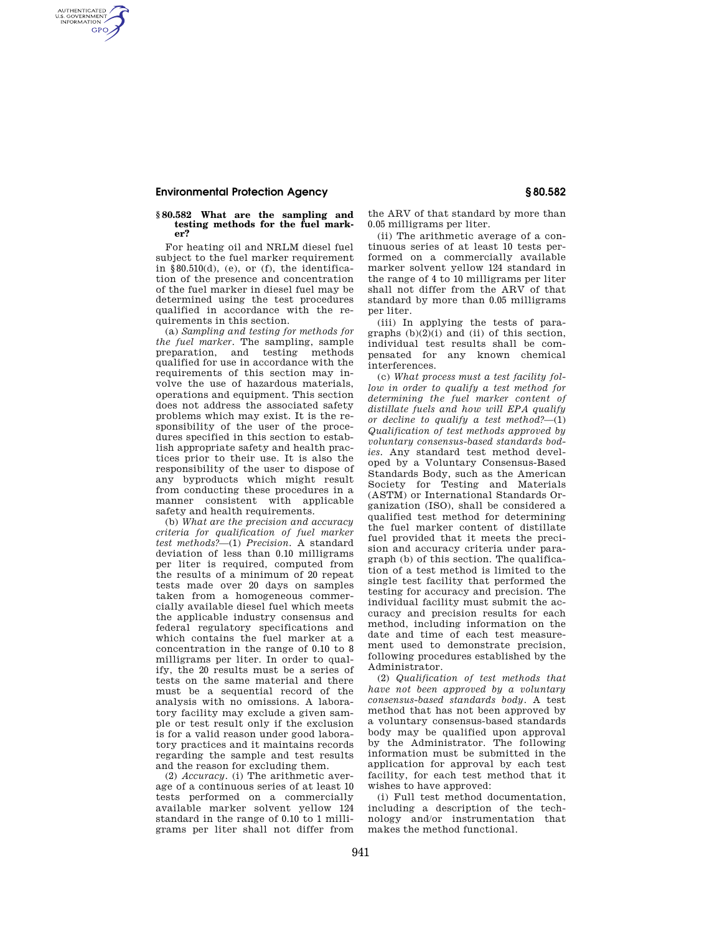## **Environmental Protection Agency § 80.582**

AUTHENTICATED<br>U.S. GOVERNMENT<br>INFORMATION **GPO** 

## **§ 80.582 What are the sampling and testing methods for the fuel marker?**

For heating oil and NRLM diesel fuel subject to the fuel marker requirement in  $$80.510(d)$ , (e), or (f), the identification of the presence and concentration of the fuel marker in diesel fuel may be determined using the test procedures qualified in accordance with the requirements in this section.

(a) *Sampling and testing for methods for the fuel marker.* The sampling, sample preparation, and testing methods qualified for use in accordance with the requirements of this section may involve the use of hazardous materials, operations and equipment. This section does not address the associated safety problems which may exist. It is the responsibility of the user of the procedures specified in this section to establish appropriate safety and health practices prior to their use. It is also the responsibility of the user to dispose of any byproducts which might result from conducting these procedures in a manner consistent with applicable safety and health requirements.

(b) *What are the precision and accuracy criteria for qualification of fuel marker test methods?*—(1) *Precision.* A standard deviation of less than 0.10 milligrams per liter is required, computed from the results of a minimum of 20 repeat tests made over 20 days on samples taken from a homogeneous commercially available diesel fuel which meets the applicable industry consensus and federal regulatory specifications and which contains the fuel marker at a concentration in the range of 0.10 to 8 milligrams per liter. In order to qualify, the 20 results must be a series of tests on the same material and there must be a sequential record of the analysis with no omissions. A laboratory facility may exclude a given sample or test result only if the exclusion is for a valid reason under good laboratory practices and it maintains records regarding the sample and test results and the reason for excluding them.

(2) *Accuracy.* (i) The arithmetic average of a continuous series of at least 10 tests performed on a commercially available marker solvent yellow 124 standard in the range of 0.10 to 1 milligrams per liter shall not differ from

the ARV of that standard by more than 0.05 milligrams per liter.

(ii) The arithmetic average of a continuous series of at least 10 tests performed on a commercially available marker solvent yellow 124 standard in the range of 4 to 10 milligrams per liter shall not differ from the ARV of that standard by more than 0.05 milligrams per liter.

(iii) In applying the tests of paragraphs  $(b)(2)(i)$  and  $(ii)$  of this section, individual test results shall be compensated for any known chemical interferences.

(c) *What process must a test facility follow in order to qualify a test method for determining the fuel marker content of distillate fuels and how will EPA qualify or decline to qualify a test method?*—(1) *Qualification of test methods approved by voluntary consensus-based standards bodies.* Any standard test method developed by a Voluntary Consensus-Based Standards Body, such as the American Society for Testing and Materials (ASTM) or International Standards Organization (ISO), shall be considered a qualified test method for determining the fuel marker content of distillate fuel provided that it meets the precision and accuracy criteria under paragraph (b) of this section. The qualification of a test method is limited to the single test facility that performed the testing for accuracy and precision. The individual facility must submit the accuracy and precision results for each method, including information on the date and time of each test measurement used to demonstrate precision, following procedures established by the Administrator.

(2) *Qualification of test methods that have not been approved by a voluntary consensus-based standards body.* A test method that has not been approved by a voluntary consensus-based standards body may be qualified upon approval by the Administrator. The following information must be submitted in the application for approval by each test facility, for each test method that it wishes to have approved:

(i) Full test method documentation, including a description of the technology and/or instrumentation that makes the method functional.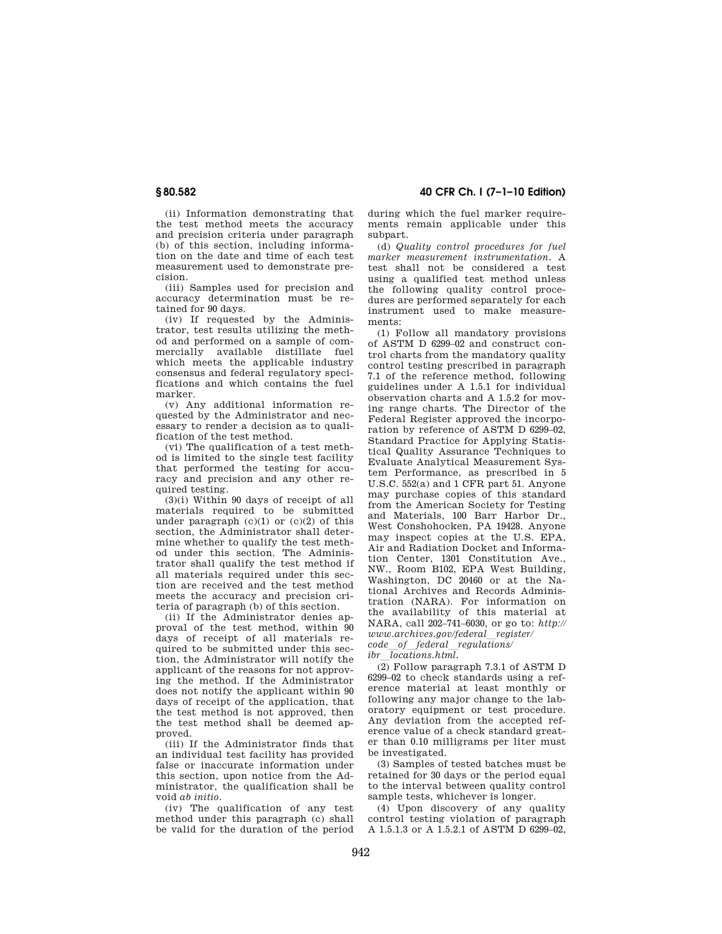**§ 80.582 40 CFR Ch. I (7–1–10 Edition)** 

(ii) Information demonstrating that the test method meets the accuracy and precision criteria under paragraph (b) of this section, including information on the date and time of each test measurement used to demonstrate precision.

(iii) Samples used for precision and accuracy determination must be retained for 90 days.

(iv) If requested by the Administrator, test results utilizing the method and performed on a sample of commercially available distillate fuel which meets the applicable industry consensus and federal regulatory specifications and which contains the fuel marker.

(v) Any additional information requested by the Administrator and necessary to render a decision as to qualification of the test method.

(vi) The qualification of a test method is limited to the single test facility that performed the testing for accuracy and precision and any other required testing.

(3)(i) Within 90 days of receipt of all materials required to be submitted under paragraph  $(c)(1)$  or  $(c)(2)$  of this section, the Administrator shall determine whether to qualify the test method under this section. The Administrator shall qualify the test method if all materials required under this section are received and the test method meets the accuracy and precision criteria of paragraph (b) of this section.

(ii) If the Administrator denies approval of the test method, within 90 days of receipt of all materials required to be submitted under this section, the Administrator will notify the applicant of the reasons for not approving the method. If the Administrator does not notify the applicant within 90 days of receipt of the application, that the test method is not approved, then the test method shall be deemed approved.

(iii) If the Administrator finds that an individual test facility has provided false or inaccurate information under this section, upon notice from the Administrator, the qualification shall be void *ab initio.* 

(iv) The qualification of any test method under this paragraph (c) shall be valid for the duration of the period during which the fuel marker requirements remain applicable under this subpart.

(d) *Quality control procedures for fuel marker measurement instrumentation.* A test shall not be considered a test using a qualified test method unless the following quality control procedures are performed separately for each instrument used to make measurements:

(1) Follow all mandatory provisions of ASTM D 6299–02 and construct control charts from the mandatory quality control testing prescribed in paragraph 7.1 of the reference method, following guidelines under A 1.5.1 for individual observation charts and A 1.5.2 for moving range charts. The Director of the Federal Register approved the incorporation by reference of ASTM D 6299–02, Standard Practice for Applying Statistical Quality Assurance Techniques to Evaluate Analytical Measurement System Performance, as prescribed in 5 U.S.C. 552(a) and 1 CFR part 51. Anyone may purchase copies of this standard from the American Society for Testing and Materials, 100 Barr Harbor Dr., West Conshohocken, PA 19428. Anyone may inspect copies at the U.S. EPA, Air and Radiation Docket and Information Center, 1301 Constitution Ave. NW., Room B102, EPA West Building, Washington, DC 20460 or at the National Archives and Records Administration (NARA). For information on the availability of this material at NARA, call 202–741–6030, or go to: *http:// www.archives.gov/federal*l*register/* 

*code*l*of*l*federal*l*regulations/* 

*ibr*l*locations.html.* 

(2) Follow paragraph 7.3.1 of ASTM D 6299–02 to check standards using a reference material at least monthly or following any major change to the laboratory equipment or test procedure. Any deviation from the accepted reference value of a check standard greater than 0.10 milligrams per liter must be investigated.

(3) Samples of tested batches must be retained for 30 days or the period equal to the interval between quality control sample tests, whichever is longer.

(4) Upon discovery of any quality control testing violation of paragraph A 1.5.1.3 or A 1.5.2.1 of ASTM D 6299–02,